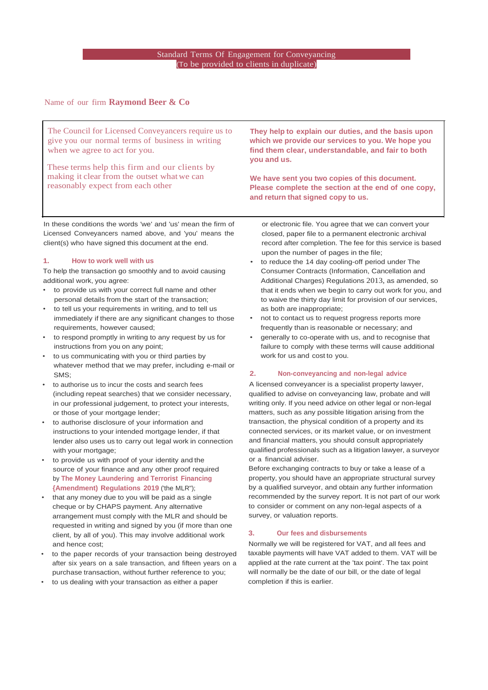#### (To be provided to clients in duplicate) Standard Terms Of Engagement for Conveyancing

Name of our firm **Raymond Beer & Co**

The Council for Licensed Conveyancers require us to give you our normal terms of business in writing when we agree to act for you.

These terms help this firm and our clients by making it clear from the outset what we can reasonably expect from each other

In these conditions the words 'we' and 'us' mean the firm of Licensed Conveyancers named above, and 'you' means the client(s) who have signed this document at the end.

#### **1. How to work well with us**

To help the transaction go smoothly and to avoid causing additional work, you agree:

- to provide us with your correct full name and other personal details from the start of the transaction;
- to tell us your requirements in writing, and to tell us immediately if there are any significant changes to those requirements, however caused;
- to respond promptly in writing to any request by us for instructions from you on any point;
- to us communicating with you or third parties by whatever method that we may prefer, including e-mail or **SMS**
- to authorise us to incur the costs and search fees (including repeat searches) that we consider necessary, in our professional judgement, to protect your interests, or those of your mortgage lender;
- to authorise disclosure of your information and instructions to your intended mortgage lender, if that lender also uses us to carry out legal work in connection with your mortgage;
- to provide us with proof of your identity and the source of your finance and any other proof required by **The Money Laundering and Terrorist Financing {Amendment) Regulations 2019** ('the MLR");
- that any money due to you will be paid as a single cheque or by CHAPS payment. Any alternative arrangement must comply with the MLR and should be requested in writing and signed by you (if more than one client, by all of you). This may involve additional work and hence cost;
- to the paper records of your transaction being destroyed after six years on a sale transaction, and fifteen years on a purchase transaction, without further reference to you;
- to us dealing with your transaction as either a paper

**They help to explain our duties, and the basis upon which we provide our services to you. We hope you find them clear, understandable, and fair to both you and us.**

**We have sent you two copies of this document. Please complete the section at the end of one copy, and return that signed copy to us.**

or electronic file. You agree that we can convert your closed, paper file to a permanent electronic archival record after completion. The fee for this service is based upon the number of pages in the file;

- to reduce the 14 day cooling-off period under The Consumer Contracts (Information, Cancellation and Additional Charges) Regulations 2013, as amended, so that it ends when we begin to carry out work for you, and to waive the thirty day limit for provision of our services, as both are inappropriate;
- not to contact us to request progress reports more frequently than is reasonable or necessary; and
- generally to co-operate with us, and to recognise that failure to comply with these terms will cause additional work for us and cost to you.

#### **2. Non-conveyancing and non-legal advice**

A licensed conveyancer is a specialist property lawyer, qualified to advise on conveyancing law, probate and will writing only. If you need advice on other legal or non-legal matters, such as any possible litigation arising from the transaction, the physical condition of a property and its connected services, or its market value, or on investment and financial matters, you should consult appropriately qualified professionals such as a litigation lawyer, a surveyor or a financial adviser.

Before exchanging contracts to buy or take a lease of a property, you should have an appropriate structural survey by a qualified surveyor, and obtain any further information recommended by the survey report. It is not part of our work to consider or comment on any non-legal aspects of a survey, or valuation reports.

#### **3. Our fees and disbursements**

Normally we will be registered for VAT, and all fees and taxable payments will have VAT added to them. VAT will be applied at the rate current at the 'tax point'. The tax point will normally be the date of our bill, or the date of legal completion if this is earlier.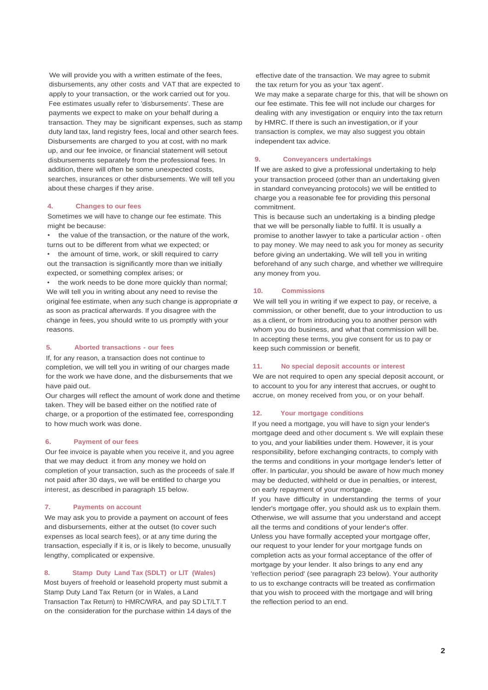We will provide you with a written estimate of the fees, disbursements, any other costs and VAT that are expected to apply to your transaction, or the work carried out for you. Fee estimates usually refer to 'disbursements'. These are payments we expect to make on your behalf during a transaction. They may be significant expenses, such as stamp duty land tax, land registry fees, local and other search fees. Disbursements are charged to you at cost, with no mark up, and our fee invoice, or financial statement will setout disbursements separately from the professional fees. In addition, there will often be some unexpected costs, searches, insurances or other disbursements. We will tell you about these charges if they arise.

#### **4. Changes to our fees**

Sometimes we will have to change our fee estimate. This might be because:

the value of the transaction, or the nature of the work, turns out to be different from what we expected; or

• the amount of time, work, or skill required to carry out the transaction is significantly more than we initially expected, or something complex arises; or

the work needs to be done more quickly than normal; We will tell you in writing about any need to revise the original fee estimate, when any such change is appropriate or as soon as practical afterwards. If you disagree with the change in fees, you should write to us promptly with your reasons.

#### **5. Aborted transactions - our fees**

If, for any reason, a transaction does not continue to completion, we will tell you in writing of our charges made for the work we have done, and the disbursements that we have paid out.

Our charges will reflect the amount of work done and thetime taken. They will be based either on the notified rate of charge, or a proportion of the estimated fee, corresponding to how much work was done.

#### **6. Payment of our fees**

Our fee invoice is payable when you receive it, and you agree that we may deduct it from any money we hold on completion of your transaction, such as the proceeds of sale.If not paid after 30 days, we will be entitled to charge you interest, as described in paragraph 15 below.

#### **7. Payments on account**

We may ask you to provide a payment on account of fees and disbursements, either at the outset (to cover such expenses as local search fees), or at any time during the transaction, especially if it is, or is likely to become, unusually lengthy, complicated or expensive.

#### **8. Stamp Duty Land Tax (SDLT) or LlT (Wales)**

Most buyers of freehold or leasehold property must submit a Stamp Duty Land Tax Return (or in Wales, a Land Transaction Tax Return) to HMRC/WRA, and pay SD LT/LT.T on the consideration for the purchase within 14 days of the

effective date of the transaction. We may agree to submit the tax return for you as your 'tax agent'. We may make a separate charge for this, that will be shown on our fee estimate. This fee will not include our charges for dealing with any investigation or enquiry into the tax return by HMRC. If there is such an investigation, or if your transaction is complex, we may also suggest you obtain independent tax advice.

#### **9. Conveyancers undertakings**

If we are asked to give a professional undertaking to help your transaction proceed (other than an undertaking given in standard conveyancing protocols) we will be entitled to charge you a reasonable fee for providing this personal commitment.

This is because such an undertaking is a binding pledge that we will be personally liable to fulfil. It is usually a promise to another lawyer to take a particular action - often to pay money. We may need to ask you for money as security before giving an undertaking. We will tell you in writing beforehand of any such charge, and whether we willrequire any money from you.

#### **10. Commissions**

We will tell you in writing if we expect to pay, or receive, a commission, or other benefit, due to your introduction to us as a client, or from introducing you to another person with whom you do business, and what that commission will be. In accepting these terms, you give consent for us to pay or keep such commission or benefit.

#### **11. No special deposit accounts or interest**

We are not required to open any special deposit account, or to account to you for any interest that accrues, or ought to accrue, on money received from you, or on your behalf.

#### **12. Your mortgage conditions**

If you need a mortgage, you will have to sign your lender's mortgage deed and other document s. We will explain these to you, and your liabilities under them. However, it is your responsibility, before exchanging contracts, to comply with the terms and conditions in your mortgage lender's letter of offer. In particular, you should be aware of how much money may be deducted, withheld or due in penalties, or interest, on early repayment of your mortgage.

If you have difficulty in understanding the terms of your lender's mortgage offer, you should ask us to explain them. Otherwise, we will assume that you understand and accept all the terms and conditions of your lender's offer. Unless you have formally accepted your mortgage offer, our request to your lender for your mortgage funds on completion acts as your formal acceptance of the offer of mortgage by your lender. It also brings to any end any 'reflection period' (see paragraph 23 below). Your authority to us to exchange contracts will be treated as confirmation that you wish to proceed with the mortgage and will bring the reflection period to an end.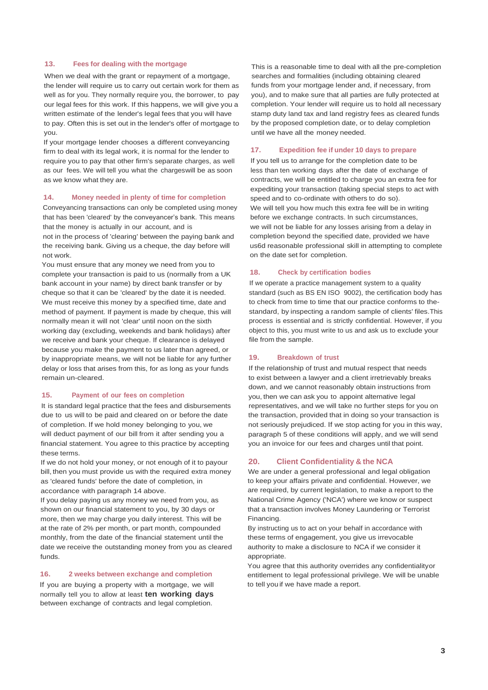#### **13. Fees for dealing with the mortgage**

When we deal with the grant or repayment of a mortgage, the lender will require us to carry out certain work for them as well as for you. They normally require you, the borrower, to pay our legal fees for this work. If this happens, we will give you a written estimate of the lender's legal fees that you will have to pay. Often this is set out in the lender's offer of mortgage to you.

If your mortgage lender chooses a different conveyancing firm to deal with its legal work, it is normal for the lender to require you to pay that other firm's separate charges, as well as our fees. We will tell you what the chargeswill be as soon as we know what they are.

#### **14. Money needed in plenty of time for completion**

Conveyancing transactions can only be completed using money that has been 'cleared' by the conveyancer's bank. This means that the money is actually in our account, and is not in the process of 'clearing' between the paying bank and

the receiving bank. Giving us a cheque, the day before will not work. You must ensure that any money we need from you to

complete your transaction is paid to us (normally from a UK bank account in your name) by direct bank transfer or by cheque so that it can be 'cleared' by the date it is needed. We must receive this money by a specified time, date and method of payment. If payment is made by cheque, this will normally mean it will not 'clear' until noon on the sixth working day (excluding, weekends and bank holidays) after we receive and bank your cheque. If clearance is delayed because you make the payment to us later than agreed, or by inappropriate means, we will not be liable for any further delay or loss that arises from this, for as long as your funds remain un-cleared.

#### **15. Payment of our fees on completion**

It is standard legal practice that the fees and disbursements due to us will to be paid and cleared on or before the date of completion. If we hold money belonging to you, we will deduct payment of our bill from it after sending you a financial statement. You agree to this practice by accepting these terms.

If we do not hold your money, or not enough of it to payour bill, then you must provide us with the required extra money as 'cleared funds' before the date of completion, in accordance with paragraph 14 above.

If you delay paying us any money we need from you, as shown on our financial statement to you, by 30 days or more, then we may charge you daily interest. This will be at the rate of 2% per month, or part month, compounded monthly, from the date of the financial statement until the date we receive the outstanding money from you as cleared funds.

#### **16. 2 weeks between exchange and completion**

If you are buying a property with a mortgage, we will normally tell you to allow at least **ten working days** between exchange of contracts and legal completion.

This is a reasonable time to deal with all the pre-completion searches and formalities (including obtaining cleared funds from your mortgage lender and, if necessary, from you), and to make sure that all parties are fully protected at completion. Your lender will require us to hold all necessary stamp duty land tax and land registry fees as cleared funds by the proposed completion date, or to delay completion until we have all the money needed.

#### **17. Expedition fee if under 10 days to prepare**

If you tell us to arrange for the completion date to be less than ten working days after the date of exchange of contracts, we will be entitled to charge you an extra fee for expediting your transaction (taking special steps to act with speed and to co-ordinate with others to do so). We will tell you how much this extra fee will be in writing before we exchange contracts. In such circumstances, we will not be liable for any losses arising from a delay in completion beyond the specified date, provided we have us6d reasonable professional skill in attempting to complete on the date set for completion.

#### **18. Check by certification bodies**

If we operate a practice management system to a quality standard (such as BS EN ISO 9002), the certification body has to check from time to time that our practice conforms to thestandard, by inspecting a random sample of clients' files.This process is essential and is strictly confidential. However, if you object to this, you must write to us and ask us to exclude your file from the sample.

#### **19. Breakdown of trust**

If the relationship of trust and mutual respect that needs to exist between a lawyer and a client irretrievably breaks down, and we cannot reasonably obtain instructions from you, then we can ask you to appoint alternative legal representatives, and we will take no further steps for you on the transaction, provided that in doing so your transaction is not seriously prejudiced. If we stop acting for you in this way, paragraph 5 of these conditions will apply, and we will send you an invoice for our fees and charges until that point.

#### **20. Client Confidentiality & the NCA**

We are under a general professional and legal obligation to keep your affairs private and confidential. However, we are required, by current legislation, to make a report to the National Crime Agency ('NCA') where we know or suspect that a transaction involves Money Laundering or Terrorist Financing.

By instructing us to act on your behalf in accordance with these terms of engagement, you give us irrevocable authority to make a disclosure to NCA if we consider it appropriate.

You agree that this authority overrides any confidentialityor entitlement to legal professional privilege. We will be unable to tell youif we have made a report.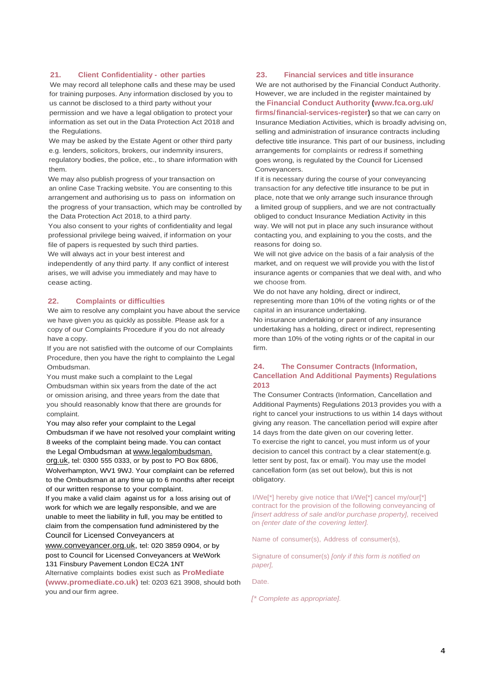#### **21. Client Confidentiality - other parties**

We may record all telephone calls and these may be used for training purposes. Any information disclosed by you to us cannot be disclosed to a third party without your permission and we have a legal obligation to protect your information as set out in the Data Protection Act 2018 and the Regulations.

We may be asked by the Estate Agent or other third party e.g. lenders, solicitors, brokers, our indemnity insurers, regulatory bodies, the police, etc., to share information with them.

We may also publish progress of your transaction on an online Case Tracking website. You are consenting to this arrangement and authorising us to pass on information on the progress of your transaction, which may be controlled by the Data Protection Act 2018, to a third party.

You also consent to your rights of confidentiality and legal professional privilege being waived, if information on your file of papers is requested by such third parties.

We will always act in your best interest and

independently of any third party. If any conflict of interest arises, we will advise you immediately and may have to cease acting.

#### **22. Complaints or difficulties**

We aim to resolve any complaint you have about the service we have given you as quickly as possible. Please ask for a copy of our Complaints Procedure if you do not already have a copy.

If you are not satisfied with the outcome of our Complaints Procedure, then you have the right to complainto the Legal Ombudsman.

You must make such a complaint to the Legal Ombudsman within six years from the date of the act or omission arising, and three years from the date that you should reasonably know that there are grounds for complaint.

You may also refer your complaint to the Legal Ombudsman if we have not resolved your complaint writing 8 weeks of the complaint being made. You can contact the Legal Ombudsman at www.legalombudsman. org.uk, tel: 0300 555 0333, or by post to PO Box 6806, Wolverhampton, WV1 9WJ. Your complaint can be referred to the Ombudsman at any time up to 6 months after receipt

of our written response to your complaint. If you make a valid claim against us for a loss arising out of work for which we are legally responsible, and we are unable to meet the liability in full, you may be entitled to claim from the compensation fund administered by the Council for Licensed Conveyancers at

[www.conveyancer.org.uk,](http://www.conveyancer.org.uk/) tel: 020 3859 0904, or by post to Council for Licensed Conveyancers at WeWork 131 Finsbury Pavement London EC2A 1NT

Alternative complaints bodies exist such as **ProMediate (www.promediate.co.uk)** tel: 0203 621 3908, should both you and our firm agree.

#### **23. Financial services and title insurance**

We are not authorised by the Financial Conduct Authority. However, we are included in the register maintained by the **Financial Conduct Authority [\(www.fca.org.uk/](http://www.fca.org.uk/)**

**firms/financial-services-register)** so that we can carry on Insurance Mediation Activities, which is broadly advising on, selling and administration of insurance contracts including defective title insurance. This part of our business, including arrangements for complaints or redress if something goes wrong, is regulated by the Council for Licensed Conveyancers.

If it is necessary during the course of your conveyancing transaction for any defective title insurance to be put in place, note that we only arrange such insurance through a limited group of suppliers, and we are not contractually obliged to conduct Insurance Mediation Activity in this way. We will not put in place any such insurance without contacting you, and explaining to you the costs, and the reasons for doing so.

We will not give advice on the basis of a fair analysis of the market, and on request we will provide you with the list of insurance agents or companies that we deal with, and who we choose from.

We do not have any holding, direct or indirect, representing more than 10% of the voting rights or of the capital in an insurance undertaking.

No insurance undertaking or parent of any insurance undertaking has a holding, direct or indirect, representing more than 10% of the voting rights or of the capital in our firm.

#### **24. The Consumer Contracts (Information, Cancellation And Additional Payments) Regulations 2013**

The Consumer Contracts (Information, Cancellation and Additional Payments) Regulations 2013 provides you with a right to cancel your instructions to us within 14 days without giving any reason. The cancellation period will expire after 14 days from the date given on our covering letter. To exercise the right to cancel, you must inform us of your decision to cancel this contract by a clear statement(e.g. letter sent by post, fax or email). You may use the model cancellation form (as set out below), but this is not obligatory.

I/We[\*] hereby give notice that I/We[\*] cancel my/our[\*] contract for the provision of the following conveyancing of *[insert address of sale and/or purchase property],* received on *{enter date of the covering letter].*

Name of consumer(s), Address of consumer(s),

Signature of consumer(s) *[only if this form is notified on paper],*

Date.

*[\* Complete as appropriate].*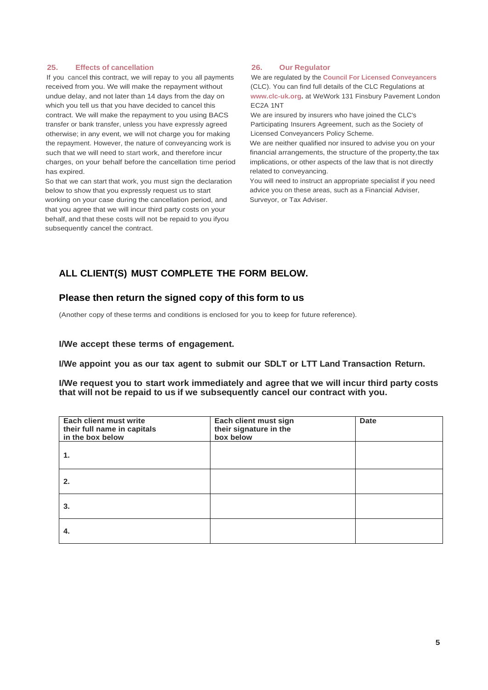#### **25. Effects of cancellation**

If you cancel this contract, we will repay to you all payments received from you. We will make the repayment without undue delay, and not later than 14 days from the day on which you tell us that you have decided to cancel this contract. We will make the repayment to you using BACS transfer or bank transfer, unless you have expressly agreed otherwise; in any event, we will not charge you for making the repayment. However, the nature of conveyancing work is such that we will need to start work, and therefore incur charges, on your behalf before the cancellation time period has expired.

So that we can start that work, you must sign the declaration below to show that you expressly request us to start working on your case during the cancellation period, and that you agree that we will incur third party costs on your behalf, and that these costs will not be repaid to you ifyou subsequently cancel the contract.

#### **26. Our Regulator**

We are regulated by the **Council For Licensed Conveyancers** (CLC). You can find full details of the CLC Regulations at **[www.clc-uk.org.](http://www.clc-uk.org/)** at WeWork 131 Finsbury Pavement London EC2A 1NT

We are insured by insurers who have joined the CLC's Participating Insurers Agreement, such as the Society of Licensed Conveyancers Policy Scheme.

We are neither qualified nor insured to advise you on your financial arrangements, the structure of the property,the tax implications, or other aspects of the law that is not directly related to conveyancing.

You will need to instruct an appropriate specialist if you need advice you on these areas, such as a Financial Adviser, Surveyor, or Tax Adviser.

## **ALL CLIENT(S) MUST COMPLETE THE FORM BELOW.**

### **Please then return the signed copy of this form to us**

(Another copy of these terms and conditions is enclosed for you to keep for future reference).

#### **I/We accept these terms of engagement.**

**I/We appoint you as our tax agent to submit our SDLT or LTT Land Transaction Return.**

**I/We request you to start work immediately and agree that we will incur third party costs that will not be repaid to us if we subsequently cancel our contract with you.**

| Each client must write<br>their full name in capitals<br>in the box below | Each client must sign<br>their signature in the<br>box below | <b>Date</b> |
|---------------------------------------------------------------------------|--------------------------------------------------------------|-------------|
| 1.                                                                        |                                                              |             |
| 2.                                                                        |                                                              |             |
| 3.                                                                        |                                                              |             |
| 4.                                                                        |                                                              |             |